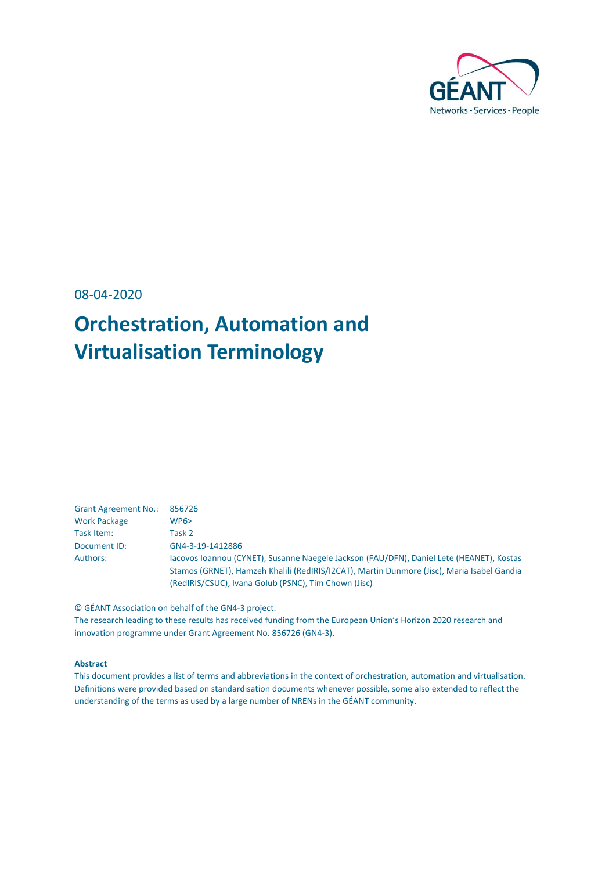

08-04-2020

# **Orchestration, Automation and Virtualisation Terminology**

| <b>Grant Agreement No.:</b> | 856726                                                                                     |
|-----------------------------|--------------------------------------------------------------------------------------------|
| <b>Work Package</b>         | WPS                                                                                        |
| Task Item:                  | Task 2                                                                                     |
| Document ID:                | GN4-3-19-1412886                                                                           |
| Authors:                    | Jacovos Joannou (CYNET), Susanne Naegele Jackson (FAU/DFN), Daniel Lete (HEANET), Kostas   |
|                             | Stamos (GRNET), Hamzeh Khalili (RedIRIS/I2CAT), Martin Dunmore (Jisc), Maria Isabel Gandia |
|                             | (RedIRIS/CSUC), Ivana Golub (PSNC), Tim Chown (Jisc)                                       |

© GÉANT Association on behalf of the GN4-3 project.

The research leading to these results has received funding from the European Union's Horizon 2020 research and innovation programme under Grant Agreement No. 856726 (GN4-3).

#### **Abstract**

This document provides a list of terms and abbreviations in the context of orchestration, automation and virtualisation. Definitions were provided based on standardisation documents whenever possible, some also extended to reflect the understanding of the terms as used by a large number of NRENs in the GÉANT community.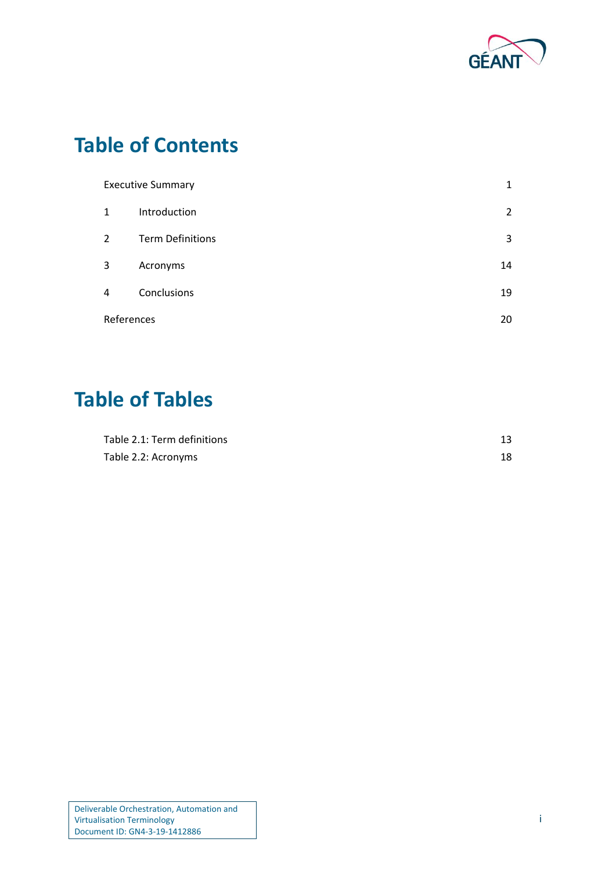

# **Table of Contents**

| <b>Executive Summary</b> |                         | 1              |
|--------------------------|-------------------------|----------------|
| $\mathbf{1}$             | Introduction            | $\overline{2}$ |
| $\overline{2}$           | <b>Term Definitions</b> | 3              |
| 3                        | Acronyms                | 14             |
| 4                        | Conclusions             | 19             |
| References               |                         | 20             |

## **Table of Tables**

| Table 2.1: Term definitions |    |
|-----------------------------|----|
| Table 2.2: Acronyms         | 18 |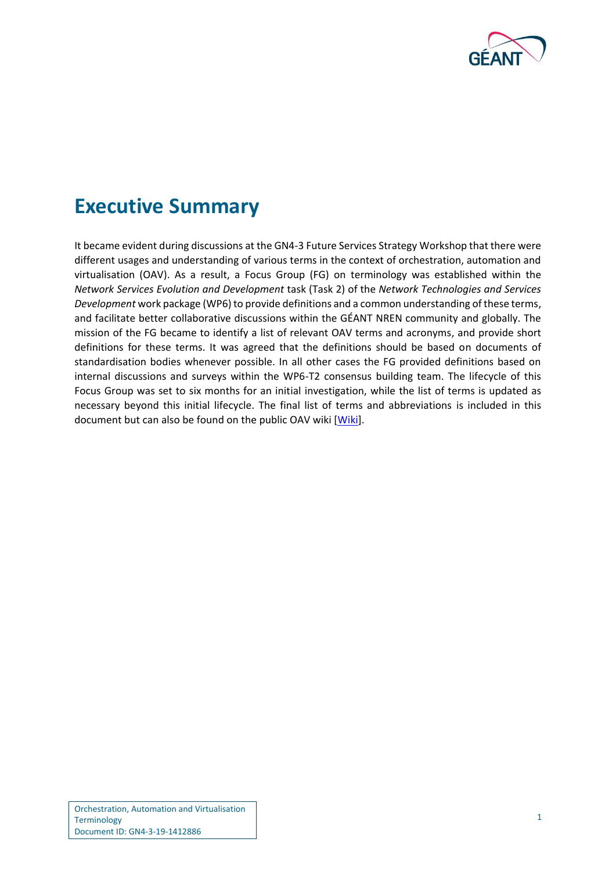

## <span id="page-2-0"></span>**Executive Summary**

It became evident during discussions at the GN4-3 Future Services Strategy Workshop that there were different usages and understanding of various terms in the context of orchestration, automation and virtualisation (OAV). As a result, a Focus Group (FG) on terminology was established within the *Network Services Evolution and Development* task (Task 2) of the *Network Technologies and Services Development* work package (WP6) to provide definitions and a common understanding of these terms, and facilitate better collaborative discussions within the GÉANT NREN community and globally. The mission of the FG became to identify a list of relevant OAV terms and acronyms, and provide short definitions for these terms. It was agreed that the definitions should be based on documents of standardisation bodies whenever possible. In all other cases the FG provided definitions based on internal discussions and surveys within the WP6-T2 consensus building team. The lifecycle of this Focus Group was set to six months for an initial investigation, while the list of terms is updated as necessary beyond this initial lifecycle. The final list of terms and abbreviations is included in this document but can also be found on the public OAV wiki [\[Wiki\]](#page-21-1).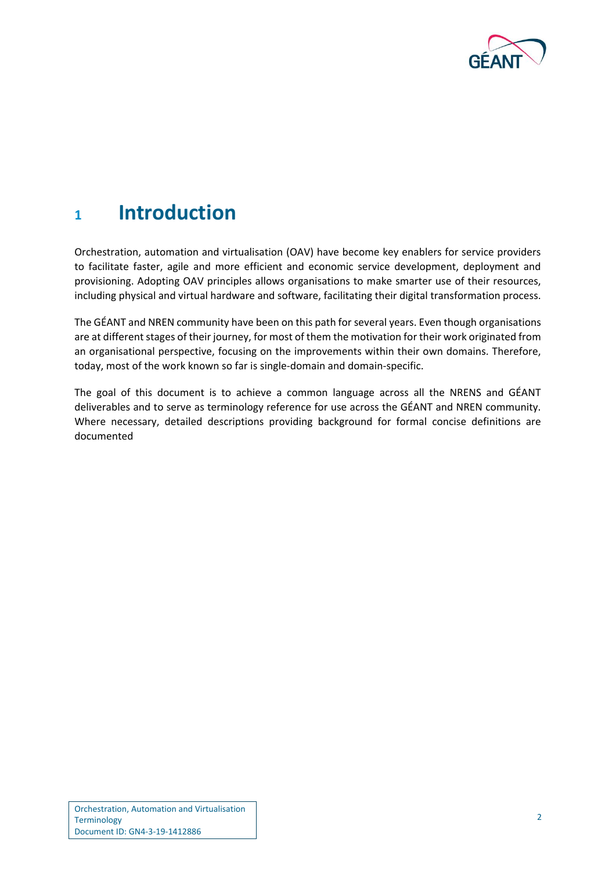

### <span id="page-3-0"></span>**<sup>1</sup> Introduction**

Orchestration, automation and virtualisation (OAV) have become key enablers for service providers to facilitate faster, agile and more efficient and economic service development, deployment and provisioning. Adopting OAV principles allows organisations to make smarter use of their resources, including physical and virtual hardware and software, facilitating their digital transformation process.

The GÉANT and NREN community have been on this path for several years. Even though organisations are at different stages of their journey, for most of them the motivation for their work originated from an organisational perspective, focusing on the improvements within their own domains. Therefore, today, most of the work known so far is single-domain and domain-specific.

The goal of this document is to achieve a common language across all the NRENS and GÉANT deliverables and to serve as terminology reference for use across the GÉANT and NREN community. Where necessary, detailed descriptions providing background for formal concise definitions are documented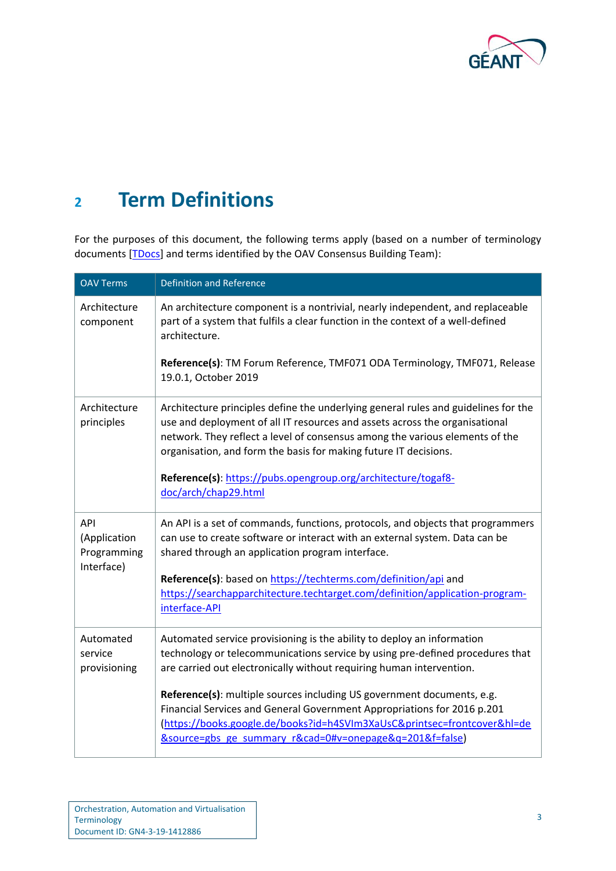

# <span id="page-4-0"></span>**<sup>2</sup> Term Definitions**

For the purposes of this document, the following terms apply (based on a number of terminology documents [\[TDocs\]](#page-21-2) and terms identified by the OAV Consensus Building Team):

| <b>OAV Terms</b>                                 | <b>Definition and Reference</b>                                                                                                                                                                                                                                                                                       |
|--------------------------------------------------|-----------------------------------------------------------------------------------------------------------------------------------------------------------------------------------------------------------------------------------------------------------------------------------------------------------------------|
| Architecture<br>component                        | An architecture component is a nontrivial, nearly independent, and replaceable<br>part of a system that fulfils a clear function in the context of a well-defined<br>architecture.                                                                                                                                    |
|                                                  | Reference(s): TM Forum Reference, TMF071 ODA Terminology, TMF071, Release<br>19.0.1, October 2019                                                                                                                                                                                                                     |
| Architecture<br>principles                       | Architecture principles define the underlying general rules and guidelines for the<br>use and deployment of all IT resources and assets across the organisational<br>network. They reflect a level of consensus among the various elements of the<br>organisation, and form the basis for making future IT decisions. |
|                                                  | Reference(s): https://pubs.opengroup.org/architecture/togaf8-<br>doc/arch/chap29.html                                                                                                                                                                                                                                 |
| API<br>(Application<br>Programming<br>Interface) | An API is a set of commands, functions, protocols, and objects that programmers<br>can use to create software or interact with an external system. Data can be<br>shared through an application program interface.                                                                                                    |
|                                                  | Reference(s): based on https://techterms.com/definition/api and<br>https://searchapparchitecture.techtarget.com/definition/application-program-<br>interface-API                                                                                                                                                      |
| Automated<br>service<br>provisioning             | Automated service provisioning is the ability to deploy an information<br>technology or telecommunications service by using pre-defined procedures that<br>are carried out electronically without requiring human intervention.                                                                                       |
|                                                  | Reference(s): multiple sources including US government documents, e.g.<br>Financial Services and General Government Appropriations for 2016 p.201<br>(https://books.google.de/books?id=h4SVIm3XaUsC&printsec=frontcover&hl=de<br><u>&amp;source=gbs_ge_summary_r&amp;cad=0#v=onepage&amp;q=201&amp;f=false)</u>       |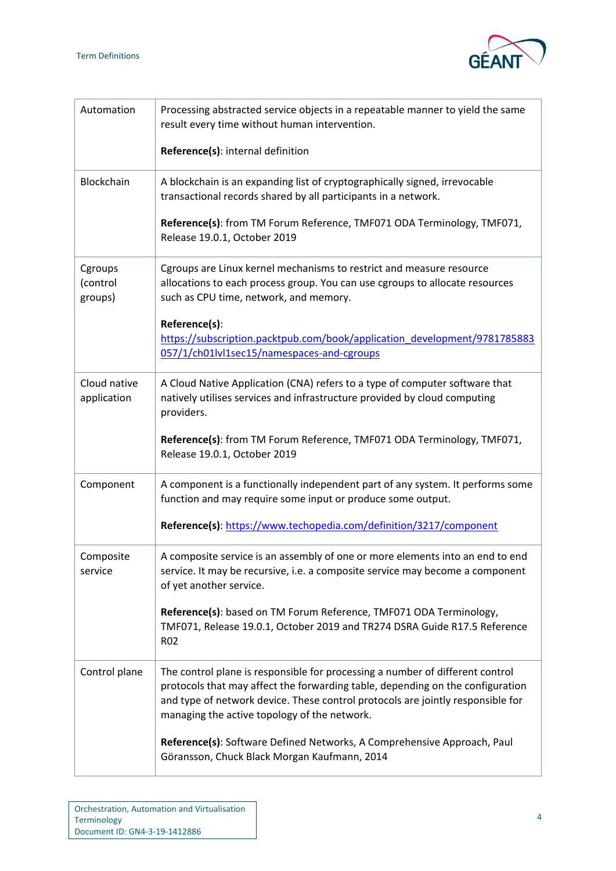

| Automation                     | Processing abstracted service objects in a repeatable manner to yield the same<br>result every time without human intervention.                                                                                                                                                                    |
|--------------------------------|----------------------------------------------------------------------------------------------------------------------------------------------------------------------------------------------------------------------------------------------------------------------------------------------------|
|                                | Reference(s): internal definition                                                                                                                                                                                                                                                                  |
| Blockchain                     | A blockchain is an expanding list of cryptographically signed, irrevocable<br>transactional records shared by all participants in a network.                                                                                                                                                       |
|                                | Reference(s): from TM Forum Reference, TMF071 ODA Terminology, TMF071,<br>Release 19.0.1, October 2019                                                                                                                                                                                             |
| Cgroups<br>(control<br>groups) | Cgroups are Linux kernel mechanisms to restrict and measure resource<br>allocations to each process group. You can use cgroups to allocate resources<br>such as CPU time, network, and memory.                                                                                                     |
|                                | Reference(s):<br>https://subscription.packtpub.com/book/application_development/9781785883<br>057/1/ch01lvl1sec15/namespaces-and-cgroups                                                                                                                                                           |
|                                |                                                                                                                                                                                                                                                                                                    |
| Cloud native<br>application    | A Cloud Native Application (CNA) refers to a type of computer software that<br>natively utilises services and infrastructure provided by cloud computing<br>providers.                                                                                                                             |
|                                | Reference(s): from TM Forum Reference, TMF071 ODA Terminology, TMF071,<br>Release 19.0.1, October 2019                                                                                                                                                                                             |
| Component                      | A component is a functionally independent part of any system. It performs some<br>function and may require some input or produce some output.                                                                                                                                                      |
|                                | Reference(s): https://www.techopedia.com/definition/3217/component                                                                                                                                                                                                                                 |
| Composite<br>service           | A composite service is an assembly of one or more elements into an end to end<br>service. It may be recursive, i.e. a composite service may become a component<br>of yet another service.                                                                                                          |
|                                | Reference(s): based on TM Forum Reference, TMF071 ODA Terminology,<br>TMF071, Release 19.0.1, October 2019 and TR274 DSRA Guide R17.5 Reference<br>R <sub>02</sub>                                                                                                                                 |
| Control plane                  | The control plane is responsible for processing a number of different control<br>protocols that may affect the forwarding table, depending on the configuration<br>and type of network device. These control protocols are jointly responsible for<br>managing the active topology of the network. |
|                                | Reference(s): Software Defined Networks, A Comprehensive Approach, Paul<br>Göransson, Chuck Black Morgan Kaufmann, 2014                                                                                                                                                                            |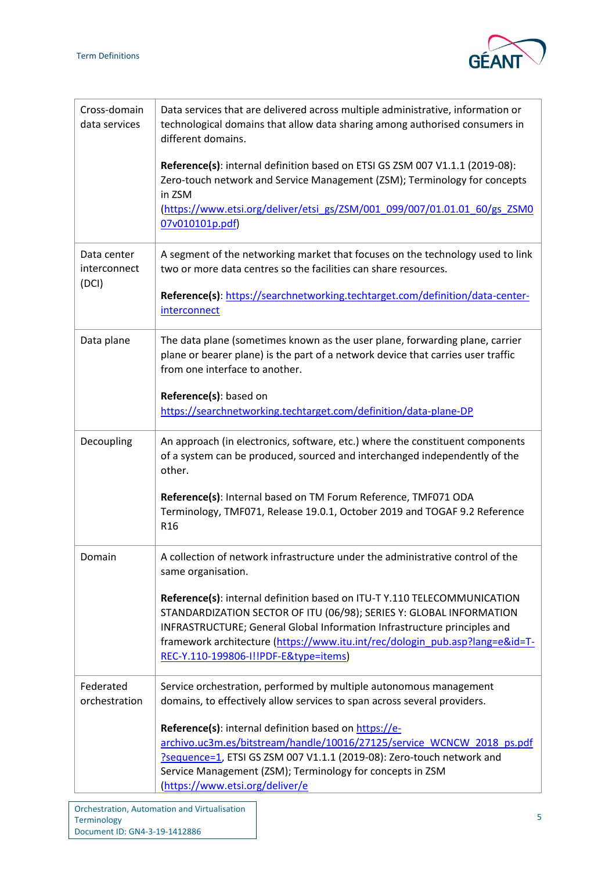

| Cross-domain<br>data services        | Data services that are delivered across multiple administrative, information or<br>technological domains that allow data sharing among authorised consumers in<br>different domains.                                                                                                                                                                 |
|--------------------------------------|------------------------------------------------------------------------------------------------------------------------------------------------------------------------------------------------------------------------------------------------------------------------------------------------------------------------------------------------------|
|                                      | Reference(s): internal definition based on ETSI GS ZSM 007 V1.1.1 (2019-08):<br>Zero-touch network and Service Management (ZSM); Terminology for concepts<br>in ZSM                                                                                                                                                                                  |
|                                      | (https://www.etsi.org/deliver/etsi_gs/ZSM/001_099/007/01.01.01_60/gs_ZSM0<br>07v010101p.pdf)                                                                                                                                                                                                                                                         |
| Data center<br>interconnect<br>(DCI) | A segment of the networking market that focuses on the technology used to link<br>two or more data centres so the facilities can share resources.                                                                                                                                                                                                    |
|                                      | Reference(s): https://searchnetworking.techtarget.com/definition/data-center-<br>interconnect                                                                                                                                                                                                                                                        |
| Data plane                           | The data plane (sometimes known as the user plane, forwarding plane, carrier<br>plane or bearer plane) is the part of a network device that carries user traffic<br>from one interface to another.                                                                                                                                                   |
|                                      | Reference(s): based on<br>https://searchnetworking.techtarget.com/definition/data-plane-DP                                                                                                                                                                                                                                                           |
| Decoupling                           | An approach (in electronics, software, etc.) where the constituent components<br>of a system can be produced, sourced and interchanged independently of the<br>other.                                                                                                                                                                                |
|                                      | Reference(s): Internal based on TM Forum Reference, TMF071 ODA<br>Terminology, TMF071, Release 19.0.1, October 2019 and TOGAF 9.2 Reference<br>R <sub>16</sub>                                                                                                                                                                                       |
| Domain                               | A collection of network infrastructure under the administrative control of the<br>same organisation.                                                                                                                                                                                                                                                 |
|                                      | Reference(s): internal definition based on ITU-T Y.110 TELECOMMUNICATION<br>STANDARDIZATION SECTOR OF ITU (06/98); SERIES Y: GLOBAL INFORMATION<br>INFRASTRUCTURE; General Global Information Infrastructure principles and<br>framework architecture (https://www.itu.int/rec/dologin_pub.asp?lang=e&id=T-<br>REC-Y.110-199806-I!!PDF-E&type=items) |
| Federated<br>orchestration           | Service orchestration, performed by multiple autonomous management<br>domains, to effectively allow services to span across several providers.                                                                                                                                                                                                       |
|                                      | Reference(s): internal definition based on https://e-<br>archivo.uc3m.es/bitstream/handle/10016/27125/service WCNCW 2018 ps.pdf<br>?sequence=1, ETSI GS ZSM 007 V1.1.1 (2019-08): Zero-touch network and<br>Service Management (ZSM); Terminology for concepts in ZSM<br>(https://www.etsi.org/deliver/e                                             |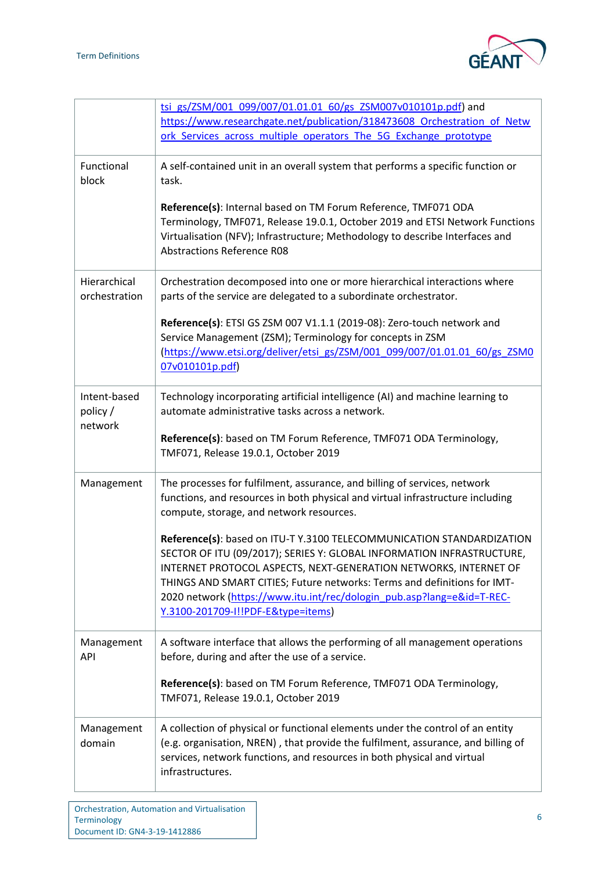

|                                     | tsi gs/ZSM/001 099/007/01.01.01 60/gs ZSM007v010101p.pdf) and<br>https://www.researchgate.net/publication/318473608 Orchestration of Netw<br>ork Services across multiple operators The 5G Exchange prototype                                                                                                                                                                                                  |
|-------------------------------------|----------------------------------------------------------------------------------------------------------------------------------------------------------------------------------------------------------------------------------------------------------------------------------------------------------------------------------------------------------------------------------------------------------------|
| Functional<br>block                 | A self-contained unit in an overall system that performs a specific function or<br>task.                                                                                                                                                                                                                                                                                                                       |
|                                     | Reference(s): Internal based on TM Forum Reference, TMF071 ODA<br>Terminology, TMF071, Release 19.0.1, October 2019 and ETSI Network Functions<br>Virtualisation (NFV); Infrastructure; Methodology to describe Interfaces and<br><b>Abstractions Reference R08</b>                                                                                                                                            |
| Hierarchical<br>orchestration       | Orchestration decomposed into one or more hierarchical interactions where<br>parts of the service are delegated to a subordinate orchestrator.                                                                                                                                                                                                                                                                 |
|                                     | Reference(s): ETSI GS ZSM 007 V1.1.1 (2019-08): Zero-touch network and<br>Service Management (ZSM); Terminology for concepts in ZSM<br>(https://www.etsi.org/deliver/etsi_gs/ZSM/001_099/007/01.01.01_60/gs_ZSM0<br>07v010101p.pdf)                                                                                                                                                                            |
| Intent-based<br>policy /<br>network | Technology incorporating artificial intelligence (AI) and machine learning to<br>automate administrative tasks across a network.                                                                                                                                                                                                                                                                               |
|                                     | Reference(s): based on TM Forum Reference, TMF071 ODA Terminology,<br>TMF071, Release 19.0.1, October 2019                                                                                                                                                                                                                                                                                                     |
| Management                          | The processes for fulfilment, assurance, and billing of services, network<br>functions, and resources in both physical and virtual infrastructure including<br>compute, storage, and network resources.                                                                                                                                                                                                        |
|                                     | Reference(s): based on ITU-T Y.3100 TELECOMMUNICATION STANDARDIZATION<br>SECTOR OF ITU (09/2017); SERIES Y: GLOBAL INFORMATION INFRASTRUCTURE,<br>INTERNET PROTOCOL ASPECTS, NEXT-GENERATION NETWORKS, INTERNET OF<br>THINGS AND SMART CITIES; Future networks: Terms and definitions for IMT-<br>2020 network (https://www.itu.int/rec/dologin_pub.asp?lang=e&id=T-REC-<br>Y.3100-201709-I!!PDF-E&type=items) |
| Management<br>API                   | A software interface that allows the performing of all management operations<br>before, during and after the use of a service.                                                                                                                                                                                                                                                                                 |
|                                     | Reference(s): based on TM Forum Reference, TMF071 ODA Terminology,<br>TMF071, Release 19.0.1, October 2019                                                                                                                                                                                                                                                                                                     |
| Management<br>domain                | A collection of physical or functional elements under the control of an entity<br>(e.g. organisation, NREN), that provide the fulfilment, assurance, and billing of<br>services, network functions, and resources in both physical and virtual<br>infrastructures.                                                                                                                                             |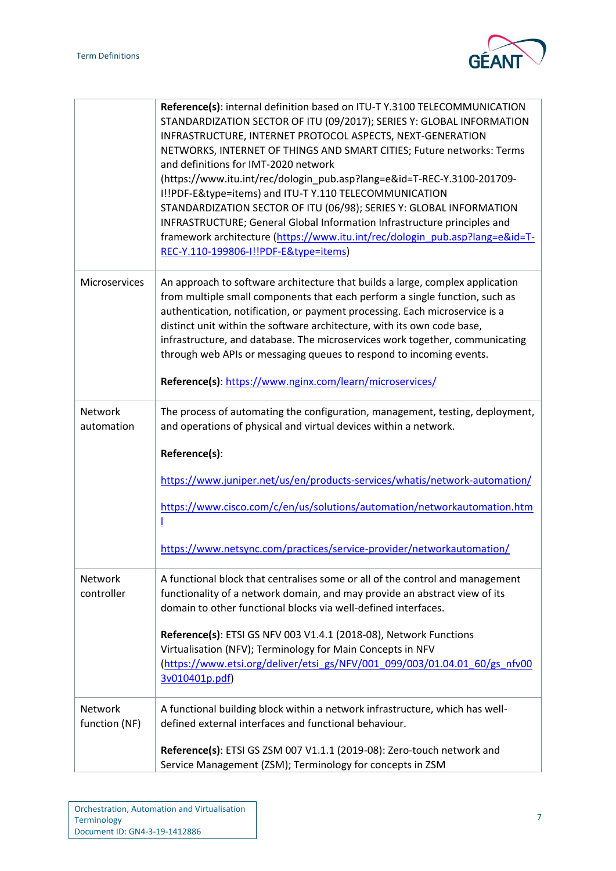

|                          | Reference(s): internal definition based on ITU-T Y.3100 TELECOMMUNICATION<br>STANDARDIZATION SECTOR OF ITU (09/2017); SERIES Y: GLOBAL INFORMATION<br>INFRASTRUCTURE, INTERNET PROTOCOL ASPECTS, NEXT-GENERATION<br>NETWORKS, INTERNET OF THINGS AND SMART CITIES; Future networks: Terms<br>and definitions for IMT-2020 network<br>(https://www.itu.int/rec/dologin_pub.asp?lang=e&id=T-REC-Y.3100-201709-                                                                  |
|--------------------------|-------------------------------------------------------------------------------------------------------------------------------------------------------------------------------------------------------------------------------------------------------------------------------------------------------------------------------------------------------------------------------------------------------------------------------------------------------------------------------|
|                          | I!!PDF-E&type=items) and ITU-T Y.110 TELECOMMUNICATION<br>STANDARDIZATION SECTOR OF ITU (06/98); SERIES Y: GLOBAL INFORMATION<br>INFRASTRUCTURE; General Global Information Infrastructure principles and<br>framework architecture (https://www.itu.int/rec/dologin_pub.asp?lang=e&id=T-<br>REC-Y.110-199806-I!!PDF-E&type=items)                                                                                                                                            |
|                          |                                                                                                                                                                                                                                                                                                                                                                                                                                                                               |
| Microservices            | An approach to software architecture that builds a large, complex application<br>from multiple small components that each perform a single function, such as<br>authentication, notification, or payment processing. Each microservice is a<br>distinct unit within the software architecture, with its own code base,<br>infrastructure, and database. The microservices work together, communicating<br>through web APIs or messaging queues to respond to incoming events. |
|                          | Reference(s): https://www.nginx.com/learn/microservices/                                                                                                                                                                                                                                                                                                                                                                                                                      |
| Network<br>automation    | The process of automating the configuration, management, testing, deployment,<br>and operations of physical and virtual devices within a network.                                                                                                                                                                                                                                                                                                                             |
|                          | Reference(s):                                                                                                                                                                                                                                                                                                                                                                                                                                                                 |
|                          | https://www.juniper.net/us/en/products-services/whatis/network-automation/                                                                                                                                                                                                                                                                                                                                                                                                    |
|                          | https://www.cisco.com/c/en/us/solutions/automation/networkautomation.htm<br>Ī                                                                                                                                                                                                                                                                                                                                                                                                 |
|                          | https://www.netsync.com/practices/service-provider/networkautomation/                                                                                                                                                                                                                                                                                                                                                                                                         |
| Network<br>controller    | A functional block that centralises some or all of the control and management<br>functionality of a network domain, and may provide an abstract view of its<br>domain to other functional blocks via well-defined interfaces.                                                                                                                                                                                                                                                 |
|                          | Reference(s): ETSI GS NFV 003 V1.4.1 (2018-08), Network Functions<br>Virtualisation (NFV); Terminology for Main Concepts in NFV<br>(https://www.etsi.org/deliver/etsi_gs/NFV/001_099/003/01.04.01_60/gs_nfv00<br>3v010401p.pdf)                                                                                                                                                                                                                                               |
| Network<br>function (NF) | A functional building block within a network infrastructure, which has well-<br>defined external interfaces and functional behaviour.                                                                                                                                                                                                                                                                                                                                         |
|                          | Reference(s): ETSI GS ZSM 007 V1.1.1 (2019-08): Zero-touch network and<br>Service Management (ZSM); Terminology for concepts in ZSM                                                                                                                                                                                                                                                                                                                                           |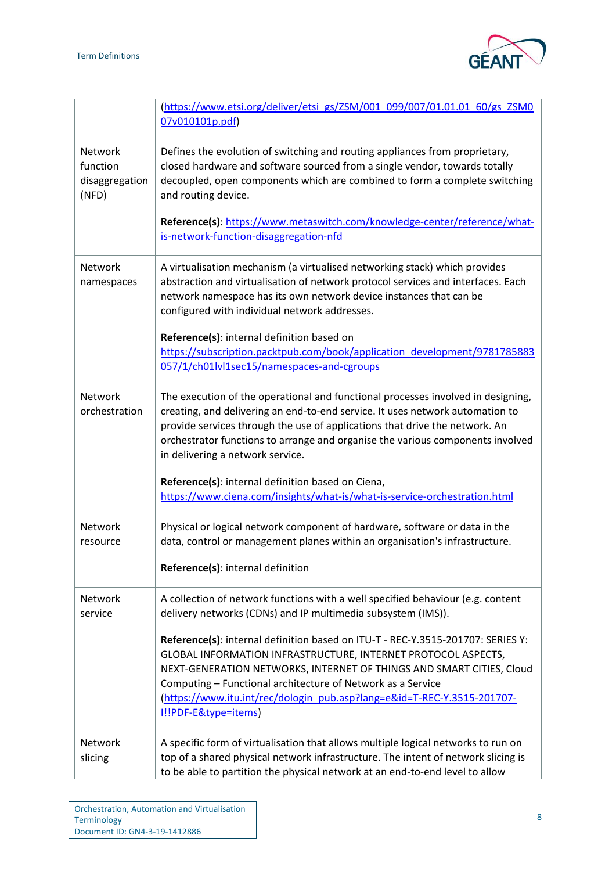

|                                                | (https://www.etsi.org/deliver/etsi_gs/ZSM/001_099/007/01.01.01_60/gs_ZSM0<br>07v010101p.pdf)                                                                                                                                                                                                                                                                                               |
|------------------------------------------------|--------------------------------------------------------------------------------------------------------------------------------------------------------------------------------------------------------------------------------------------------------------------------------------------------------------------------------------------------------------------------------------------|
| Network<br>function<br>disaggregation<br>(NFD) | Defines the evolution of switching and routing appliances from proprietary,<br>closed hardware and software sourced from a single vendor, towards totally<br>decoupled, open components which are combined to form a complete switching<br>and routing device.<br>Reference(s): https://www.metaswitch.com/knowledge-center/reference/what-                                                |
|                                                | is-network-function-disaggregation-nfd                                                                                                                                                                                                                                                                                                                                                     |
| Network<br>namespaces                          | A virtualisation mechanism (a virtualised networking stack) which provides<br>abstraction and virtualisation of network protocol services and interfaces. Each<br>network namespace has its own network device instances that can be<br>configured with individual network addresses.                                                                                                      |
|                                                | Reference(s): internal definition based on<br>https://subscription.packtpub.com/book/application_development/9781785883<br>057/1/ch01lvl1sec15/namespaces-and-cgroups                                                                                                                                                                                                                      |
| Network<br>orchestration                       | The execution of the operational and functional processes involved in designing,<br>creating, and delivering an end-to-end service. It uses network automation to<br>provide services through the use of applications that drive the network. An<br>orchestrator functions to arrange and organise the various components involved<br>in delivering a network service.                     |
|                                                | Reference(s): internal definition based on Ciena,<br>https://www.ciena.com/insights/what-is/what-is-service-orchestration.html                                                                                                                                                                                                                                                             |
| Network<br>resource                            | Physical or logical network component of hardware, software or data in the<br>data, control or management planes within an organisation's infrastructure.                                                                                                                                                                                                                                  |
|                                                | Reference(s): internal definition                                                                                                                                                                                                                                                                                                                                                          |
| Network<br>service                             | A collection of network functions with a well specified behaviour (e.g. content<br>delivery networks (CDNs) and IP multimedia subsystem (IMS)).                                                                                                                                                                                                                                            |
|                                                | Reference(s): internal definition based on ITU-T - REC-Y.3515-201707: SERIES Y:<br>GLOBAL INFORMATION INFRASTRUCTURE, INTERNET PROTOCOL ASPECTS,<br>NEXT-GENERATION NETWORKS, INTERNET OF THINGS AND SMART CITIES, Cloud<br>Computing - Functional architecture of Network as a Service<br>(https://www.itu.int/rec/dologin_pub.asp?lang=e&id=T-REC-Y.3515-201707-<br>I!!PDF-E&type=items) |
| Network<br>slicing                             | A specific form of virtualisation that allows multiple logical networks to run on<br>top of a shared physical network infrastructure. The intent of network slicing is<br>to be able to partition the physical network at an end-to-end level to allow                                                                                                                                     |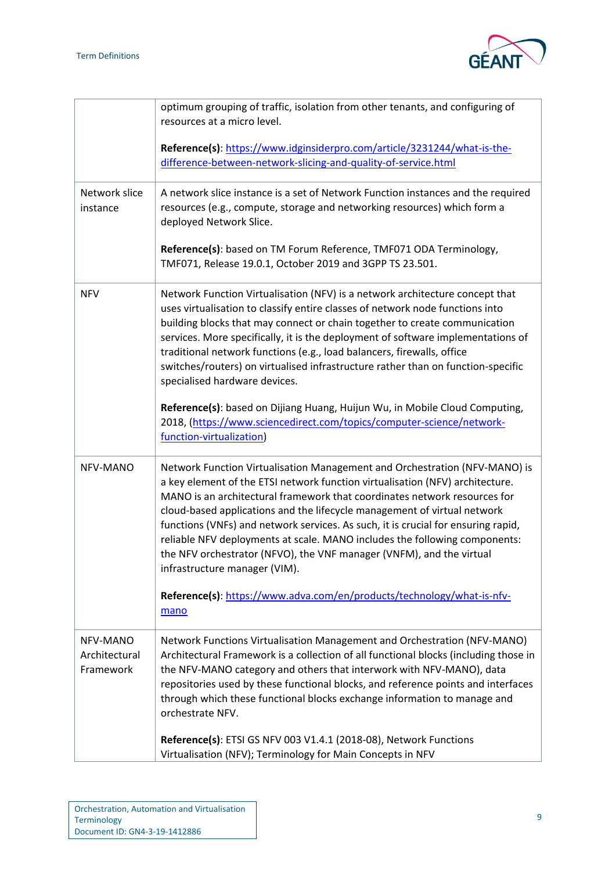

|                                        | optimum grouping of traffic, isolation from other tenants, and configuring of<br>resources at a micro level.                                                                                                                                                                                                                                                                                                                                                                                                                                                                                                  |
|----------------------------------------|---------------------------------------------------------------------------------------------------------------------------------------------------------------------------------------------------------------------------------------------------------------------------------------------------------------------------------------------------------------------------------------------------------------------------------------------------------------------------------------------------------------------------------------------------------------------------------------------------------------|
|                                        | Reference(s): https://www.idginsiderpro.com/article/3231244/what-is-the-<br>difference-between-network-slicing-and-quality-of-service.html                                                                                                                                                                                                                                                                                                                                                                                                                                                                    |
| Network slice<br>instance              | A network slice instance is a set of Network Function instances and the required<br>resources (e.g., compute, storage and networking resources) which form a<br>deployed Network Slice.                                                                                                                                                                                                                                                                                                                                                                                                                       |
|                                        | Reference(s): based on TM Forum Reference, TMF071 ODA Terminology,<br>TMF071, Release 19.0.1, October 2019 and 3GPP TS 23.501.                                                                                                                                                                                                                                                                                                                                                                                                                                                                                |
| <b>NFV</b>                             | Network Function Virtualisation (NFV) is a network architecture concept that<br>uses virtualisation to classify entire classes of network node functions into<br>building blocks that may connect or chain together to create communication<br>services. More specifically, it is the deployment of software implementations of<br>traditional network functions (e.g., load balancers, firewalls, office<br>switches/routers) on virtualised infrastructure rather than on function-specific<br>specialised hardware devices.<br>Reference(s): based on Dijiang Huang, Huijun Wu, in Mobile Cloud Computing, |
|                                        | 2018, (https://www.sciencedirect.com/topics/computer-science/network-<br>function-virtualization)                                                                                                                                                                                                                                                                                                                                                                                                                                                                                                             |
| NFV-MANO                               | Network Function Virtualisation Management and Orchestration (NFV-MANO) is<br>a key element of the ETSI network function virtualisation (NFV) architecture.<br>MANO is an architectural framework that coordinates network resources for<br>cloud-based applications and the lifecycle management of virtual network<br>functions (VNFs) and network services. As such, it is crucial for ensuring rapid,<br>reliable NFV deployments at scale. MANO includes the following components:<br>the NFV orchestrator (NFVO), the VNF manager (VNFM), and the virtual<br>infrastructure manager (VIM).              |
|                                        | Reference(s): https://www.adva.com/en/products/technology/what-is-nfv-<br>mano                                                                                                                                                                                                                                                                                                                                                                                                                                                                                                                                |
| NFV-MANO<br>Architectural<br>Framework | Network Functions Virtualisation Management and Orchestration (NFV-MANO)<br>Architectural Framework is a collection of all functional blocks (including those in<br>the NFV-MANO category and others that interwork with NFV-MANO), data<br>repositories used by these functional blocks, and reference points and interfaces<br>through which these functional blocks exchange information to manage and<br>orchestrate NFV.                                                                                                                                                                                 |
|                                        | Reference(s): ETSI GS NFV 003 V1.4.1 (2018-08), Network Functions<br>Virtualisation (NFV); Terminology for Main Concepts in NFV                                                                                                                                                                                                                                                                                                                                                                                                                                                                               |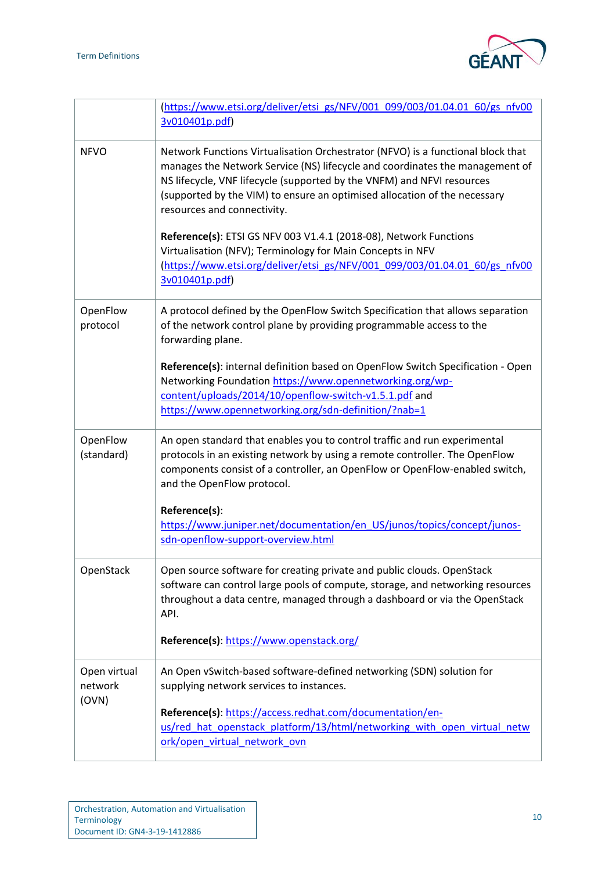

|                                  | (https://www.etsi.org/deliver/etsi_gs/NFV/001_099/003/01.04.01_60/gs_nfv00<br>3v010401p.pdf)                                                                                                                                                                                                                                                          |
|----------------------------------|-------------------------------------------------------------------------------------------------------------------------------------------------------------------------------------------------------------------------------------------------------------------------------------------------------------------------------------------------------|
| <b>NFVO</b>                      | Network Functions Virtualisation Orchestrator (NFVO) is a functional block that<br>manages the Network Service (NS) lifecycle and coordinates the management of<br>NS lifecycle, VNF lifecycle (supported by the VNFM) and NFVI resources<br>(supported by the VIM) to ensure an optimised allocation of the necessary<br>resources and connectivity. |
|                                  | Reference(s): ETSI GS NFV 003 V1.4.1 (2018-08), Network Functions<br>Virtualisation (NFV); Terminology for Main Concepts in NFV<br>(https://www.etsi.org/deliver/etsi_gs/NFV/001_099/003/01.04.01_60/gs_nfv00<br>3v010401p.pdf)                                                                                                                       |
| OpenFlow<br>protocol             | A protocol defined by the OpenFlow Switch Specification that allows separation<br>of the network control plane by providing programmable access to the<br>forwarding plane.                                                                                                                                                                           |
|                                  | Reference(s): internal definition based on OpenFlow Switch Specification - Open<br>Networking Foundation https://www.opennetworking.org/wp-<br>content/uploads/2014/10/openflow-switch-v1.5.1.pdf and<br>https://www.opennetworking.org/sdn-definition/?nab=1                                                                                         |
| OpenFlow<br>(standard)           | An open standard that enables you to control traffic and run experimental<br>protocols in an existing network by using a remote controller. The OpenFlow<br>components consist of a controller, an OpenFlow or OpenFlow-enabled switch,<br>and the OpenFlow protocol.                                                                                 |
|                                  | Reference(s):<br>https://www.juniper.net/documentation/en US/junos/topics/concept/junos-<br>sdn-openflow-support-overview.html                                                                                                                                                                                                                        |
| OpenStack                        | Open source software for creating private and public clouds. OpenStack<br>software can control large pools of compute, storage, and networking resources<br>throughout a data centre, managed through a dashboard or via the OpenStack<br>API.                                                                                                        |
|                                  | Reference(s): https://www.openstack.org/                                                                                                                                                                                                                                                                                                              |
| Open virtual<br>network<br>(OVN) | An Open vSwitch-based software-defined networking (SDN) solution for<br>supplying network services to instances.                                                                                                                                                                                                                                      |
|                                  | Reference(s): https://access.redhat.com/documentation/en-<br>us/red hat openstack platform/13/html/networking with open virtual netw<br>ork/open virtual network ovn                                                                                                                                                                                  |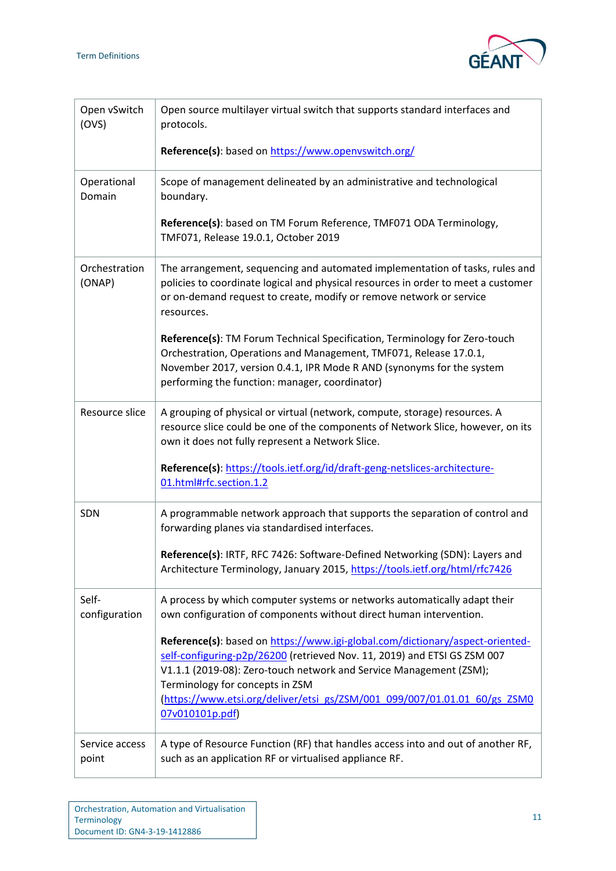

| Open vSwitch<br>(OVS)   | Open source multilayer virtual switch that supports standard interfaces and<br>protocols.                                                                                                                                                                                                                                                                          |
|-------------------------|--------------------------------------------------------------------------------------------------------------------------------------------------------------------------------------------------------------------------------------------------------------------------------------------------------------------------------------------------------------------|
|                         | Reference(s): based on https://www.openvswitch.org/                                                                                                                                                                                                                                                                                                                |
| Operational<br>Domain   | Scope of management delineated by an administrative and technological<br>boundary.                                                                                                                                                                                                                                                                                 |
|                         | Reference(s): based on TM Forum Reference, TMF071 ODA Terminology,<br>TMF071, Release 19.0.1, October 2019                                                                                                                                                                                                                                                         |
| Orchestration<br>(ONAP) | The arrangement, sequencing and automated implementation of tasks, rules and<br>policies to coordinate logical and physical resources in order to meet a customer<br>or on-demand request to create, modify or remove network or service<br>resources.                                                                                                             |
|                         | Reference(s): TM Forum Technical Specification, Terminology for Zero-touch<br>Orchestration, Operations and Management, TMF071, Release 17.0.1,<br>November 2017, version 0.4.1, IPR Mode R AND (synonyms for the system<br>performing the function: manager, coordinator)                                                                                         |
| Resource slice          | A grouping of physical or virtual (network, compute, storage) resources. A<br>resource slice could be one of the components of Network Slice, however, on its<br>own it does not fully represent a Network Slice.                                                                                                                                                  |
|                         | Reference(s): https://tools.ietf.org/id/draft-geng-netslices-architecture-<br>01.html#rfc.section.1.2                                                                                                                                                                                                                                                              |
| SDN                     | A programmable network approach that supports the separation of control and<br>forwarding planes via standardised interfaces.                                                                                                                                                                                                                                      |
|                         | Reference(s): IRTF, RFC 7426: Software-Defined Networking (SDN): Layers and<br>Architecture Terminology, January 2015, https://tools.ietf.org/html/rfc7426                                                                                                                                                                                                         |
| Self-<br>configuration  | A process by which computer systems or networks automatically adapt their<br>own configuration of components without direct human intervention.                                                                                                                                                                                                                    |
|                         | Reference(s): based on https://www.igi-global.com/dictionary/aspect-oriented-<br>self-configuring-p2p/26200 (retrieved Nov. 11, 2019) and ETSI GS ZSM 007<br>V1.1.1 (2019-08): Zero-touch network and Service Management (ZSM);<br>Terminology for concepts in ZSM<br>(https://www.etsi.org/deliver/etsi_gs/ZSM/001_099/007/01.01.01_60/gs_ZSM0<br>07v010101p.pdf) |
| Service access<br>point | A type of Resource Function (RF) that handles access into and out of another RF,<br>such as an application RF or virtualised appliance RF.                                                                                                                                                                                                                         |

 $\overline{\phantom{a}}$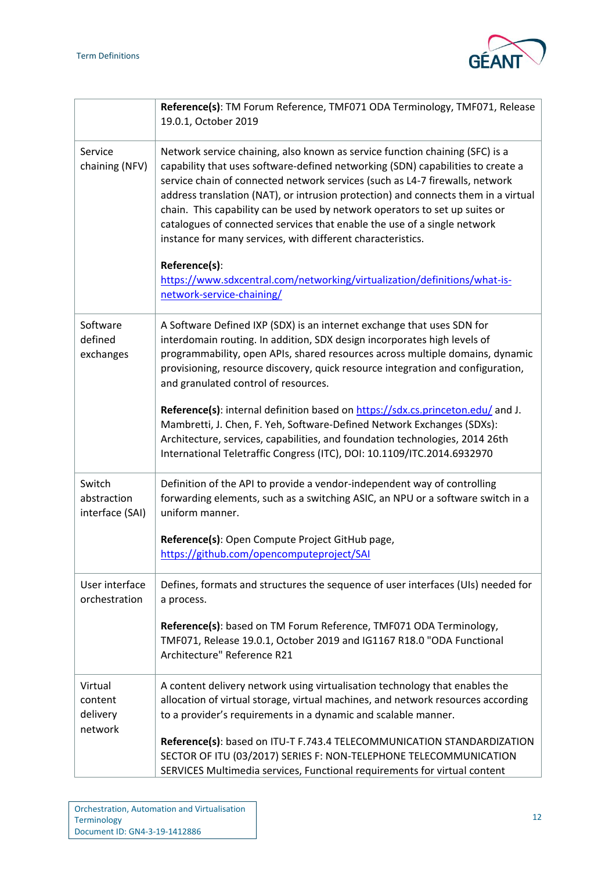

|                                           | Reference(s): TM Forum Reference, TMF071 ODA Terminology, TMF071, Release<br>19.0.1, October 2019                                                                                                                                                                                                                                                                                                                                                                                                                                                               |
|-------------------------------------------|-----------------------------------------------------------------------------------------------------------------------------------------------------------------------------------------------------------------------------------------------------------------------------------------------------------------------------------------------------------------------------------------------------------------------------------------------------------------------------------------------------------------------------------------------------------------|
| Service<br>chaining (NFV)                 | Network service chaining, also known as service function chaining (SFC) is a<br>capability that uses software-defined networking (SDN) capabilities to create a<br>service chain of connected network services (such as L4-7 firewalls, network<br>address translation (NAT), or intrusion protection) and connects them in a virtual<br>chain. This capability can be used by network operators to set up suites or<br>catalogues of connected services that enable the use of a single network<br>instance for many services, with different characteristics. |
|                                           | Reference(s):<br>https://www.sdxcentral.com/networking/virtualization/definitions/what-is-<br>network-service-chaining/                                                                                                                                                                                                                                                                                                                                                                                                                                         |
| Software<br>defined<br>exchanges          | A Software Defined IXP (SDX) is an internet exchange that uses SDN for<br>interdomain routing. In addition, SDX design incorporates high levels of<br>programmability, open APIs, shared resources across multiple domains, dynamic<br>provisioning, resource discovery, quick resource integration and configuration,<br>and granulated control of resources.                                                                                                                                                                                                  |
|                                           | Reference(s): internal definition based on https://sdx.cs.princeton.edu/ and J.<br>Mambretti, J. Chen, F. Yeh, Software-Defined Network Exchanges (SDXs):<br>Architecture, services, capabilities, and foundation technologies, 2014 26th<br>International Teletraffic Congress (ITC), DOI: 10.1109/ITC.2014.6932970                                                                                                                                                                                                                                            |
| Switch<br>abstraction<br>interface (SAI)  | Definition of the API to provide a vendor-independent way of controlling<br>forwarding elements, such as a switching ASIC, an NPU or a software switch in a<br>uniform manner.                                                                                                                                                                                                                                                                                                                                                                                  |
|                                           | Reference(s): Open Compute Project GitHub page,<br>https://github.com/opencomputeproject/SAI                                                                                                                                                                                                                                                                                                                                                                                                                                                                    |
| User interface<br>orchestration           | Defines, formats and structures the sequence of user interfaces (UIs) needed for<br>a process.                                                                                                                                                                                                                                                                                                                                                                                                                                                                  |
|                                           | Reference(s): based on TM Forum Reference, TMF071 ODA Terminology,<br>TMF071, Release 19.0.1, October 2019 and IG1167 R18.0 "ODA Functional<br>Architecture" Reference R21                                                                                                                                                                                                                                                                                                                                                                                      |
| Virtual<br>content<br>delivery<br>network | A content delivery network using virtualisation technology that enables the<br>allocation of virtual storage, virtual machines, and network resources according<br>to a provider's requirements in a dynamic and scalable manner.                                                                                                                                                                                                                                                                                                                               |
|                                           | Reference(s): based on ITU-T F.743.4 TELECOMMUNICATION STANDARDIZATION<br>SECTOR OF ITU (03/2017) SERIES F: NON-TELEPHONE TELECOMMUNICATION<br>SERVICES Multimedia services, Functional requirements for virtual content                                                                                                                                                                                                                                                                                                                                        |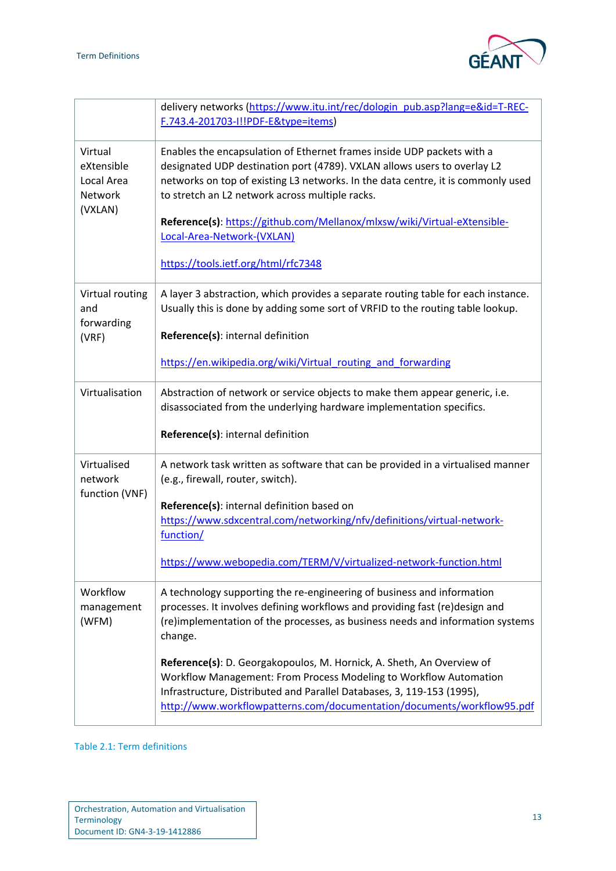

|                                                           | delivery networks (https://www.itu.int/rec/dologin_pub.asp?lang=e&id=T-REC-<br>F.743.4-201703-I!!PDF-E&type=items)                                                                                                                                                                                                                                                                                                                                                                                                                                   |
|-----------------------------------------------------------|------------------------------------------------------------------------------------------------------------------------------------------------------------------------------------------------------------------------------------------------------------------------------------------------------------------------------------------------------------------------------------------------------------------------------------------------------------------------------------------------------------------------------------------------------|
| Virtual<br>eXtensible<br>Local Area<br>Network<br>(VXLAN) | Enables the encapsulation of Ethernet frames inside UDP packets with a<br>designated UDP destination port (4789). VXLAN allows users to overlay L2<br>networks on top of existing L3 networks. In the data centre, it is commonly used<br>to stretch an L2 network across multiple racks.<br>Reference(s): https://github.com/Mellanox/mlxsw/wiki/Virtual-eXtensible-<br>Local-Area-Network-(VXLAN)<br>https://tools.ietf.org/html/rfc7348                                                                                                           |
| Virtual routing<br>and<br>forwarding<br>(VRF)             | A layer 3 abstraction, which provides a separate routing table for each instance.<br>Usually this is done by adding some sort of VRFID to the routing table lookup.<br>Reference(s): internal definition<br>https://en.wikipedia.org/wiki/Virtual routing and forwarding                                                                                                                                                                                                                                                                             |
| Virtualisation                                            | Abstraction of network or service objects to make them appear generic, i.e.<br>disassociated from the underlying hardware implementation specifics.<br>Reference(s): internal definition                                                                                                                                                                                                                                                                                                                                                             |
| Virtualised<br>network<br>function (VNF)                  | A network task written as software that can be provided in a virtualised manner<br>(e.g., firewall, router, switch).<br>Reference(s): internal definition based on<br>https://www.sdxcentral.com/networking/nfv/definitions/virtual-network-<br>function/<br>https://www.webopedia.com/TERM/V/virtualized-network-function.html                                                                                                                                                                                                                      |
| Workflow<br>management<br>(WFM)                           | A technology supporting the re-engineering of business and information<br>processes. It involves defining workflows and providing fast (re)design and<br>(re)implementation of the processes, as business needs and information systems<br>change.<br>Reference(s): D. Georgakopoulos, M. Hornick, A. Sheth, An Overview of<br>Workflow Management: From Process Modeling to Workflow Automation<br>Infrastructure, Distributed and Parallel Databases, 3, 119-153 (1995),<br>http://www.workflowpatterns.com/documentation/documents/workflow95.pdf |

<span id="page-14-0"></span>Table 2.1: Term definitions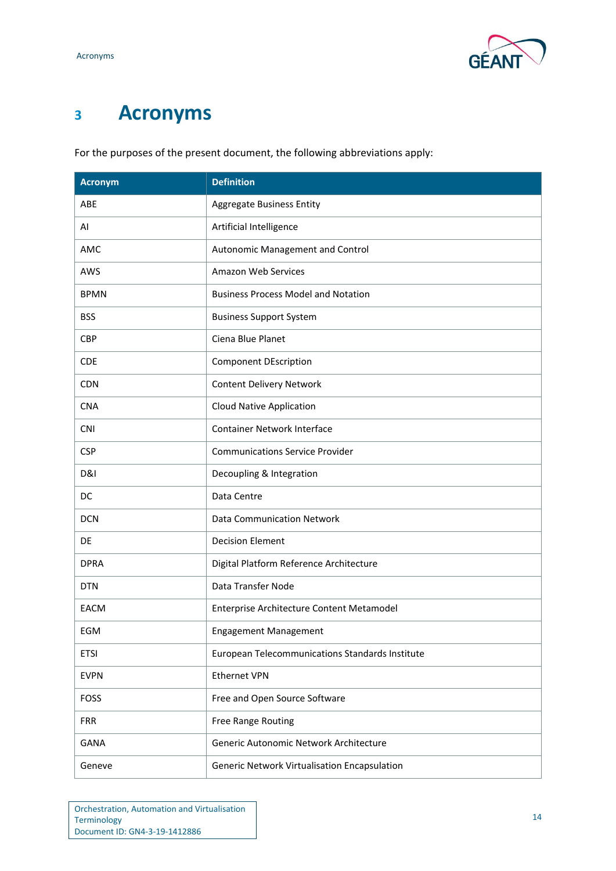## <span id="page-15-0"></span>**<sup>3</sup> Acronyms**

For the purposes of the present document, the following abbreviations apply:

| <b>Acronym</b> | <b>Definition</b>                               |
|----------------|-------------------------------------------------|
| ABE            | <b>Aggregate Business Entity</b>                |
| AI             | Artificial Intelligence                         |
| AMC            | Autonomic Management and Control                |
| AWS            | Amazon Web Services                             |
| <b>BPMN</b>    | <b>Business Process Model and Notation</b>      |
| <b>BSS</b>     | <b>Business Support System</b>                  |
| <b>CBP</b>     | Ciena Blue Planet                               |
| <b>CDE</b>     | <b>Component DEscription</b>                    |
| <b>CDN</b>     | <b>Content Delivery Network</b>                 |
| <b>CNA</b>     | <b>Cloud Native Application</b>                 |
| <b>CNI</b>     | <b>Container Network Interface</b>              |
| <b>CSP</b>     | <b>Communications Service Provider</b>          |
| D&I            | Decoupling & Integration                        |
| DC             | Data Centre                                     |
| <b>DCN</b>     | <b>Data Communication Network</b>               |
| DE             | <b>Decision Element</b>                         |
| <b>DPRA</b>    | Digital Platform Reference Architecture         |
| <b>DTN</b>     | Data Transfer Node                              |
| <b>EACM</b>    | Enterprise Architecture Content Metamodel       |
| EGM            | <b>Engagement Management</b>                    |
| <b>ETSI</b>    | European Telecommunications Standards Institute |
| <b>EVPN</b>    | <b>Ethernet VPN</b>                             |
| <b>FOSS</b>    | Free and Open Source Software                   |
| <b>FRR</b>     | Free Range Routing                              |
| <b>GANA</b>    | Generic Autonomic Network Architecture          |
| Geneve         | Generic Network Virtualisation Encapsulation    |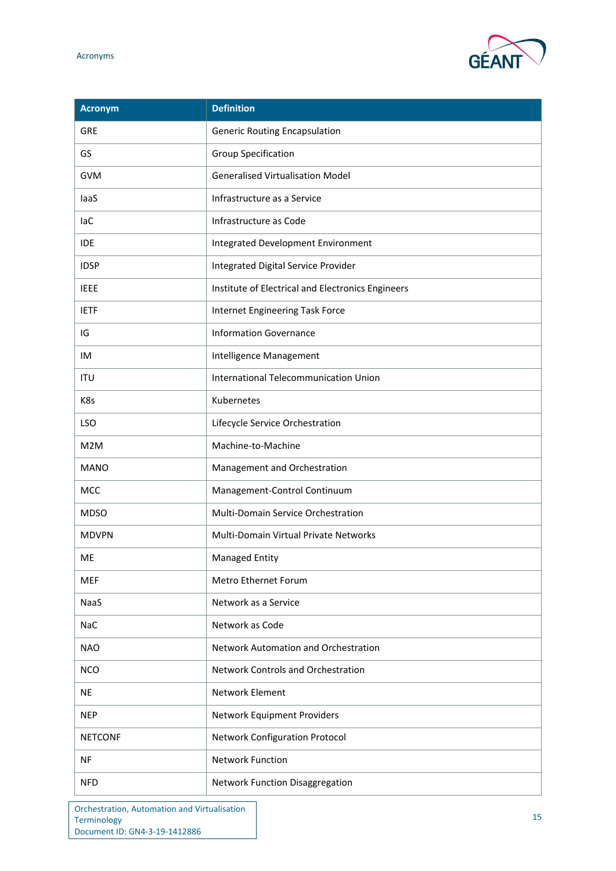

| <b>Acronym</b> | <b>Definition</b>                                 |
|----------------|---------------------------------------------------|
| <b>GRE</b>     | <b>Generic Routing Encapsulation</b>              |
| GS             | <b>Group Specification</b>                        |
| <b>GVM</b>     | <b>Generalised Virtualisation Model</b>           |
| laaS           | Infrastructure as a Service                       |
| <b>laC</b>     | Infrastructure as Code                            |
| <b>IDE</b>     | Integrated Development Environment                |
| <b>IDSP</b>    | Integrated Digital Service Provider               |
| <b>IEEE</b>    | Institute of Electrical and Electronics Engineers |
| <b>IETF</b>    | Internet Engineering Task Force                   |
| IG             | <b>Information Governance</b>                     |
| IM             | Intelligence Management                           |
| <b>ITU</b>     | International Telecommunication Union             |
| K8s            | Kubernetes                                        |
| LSO            | Lifecycle Service Orchestration                   |
| M2M            | Machine-to-Machine                                |
| <b>MANO</b>    | Management and Orchestration                      |
| MCC            | Management-Control Continuum                      |
| <b>MDSO</b>    | Multi-Domain Service Orchestration                |
| <b>MDVPN</b>   | Multi-Domain Virtual Private Networks             |
| <b>ME</b>      | <b>Managed Entity</b>                             |
| <b>MEF</b>     | Metro Ethernet Forum                              |
| NaaS           | Network as a Service                              |
| <b>NaC</b>     | Network as Code                                   |
| <b>NAO</b>     | Network Automation and Orchestration              |
| <b>NCO</b>     | <b>Network Controls and Orchestration</b>         |
| <b>NE</b>      | <b>Network Element</b>                            |
| <b>NEP</b>     | Network Equipment Providers                       |
| <b>NETCONF</b> | <b>Network Configuration Protocol</b>             |
| <b>NF</b>      | <b>Network Function</b>                           |
| <b>NFD</b>     | Network Function Disaggregation                   |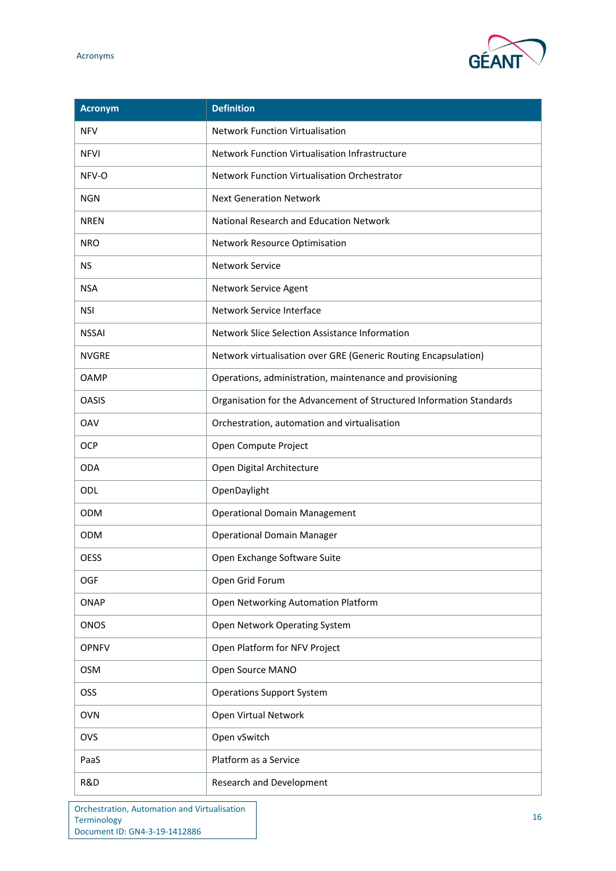

| <b>Acronym</b> | <b>Definition</b>                                                    |
|----------------|----------------------------------------------------------------------|
| <b>NFV</b>     | <b>Network Function Virtualisation</b>                               |
| <b>NFVI</b>    | Network Function Virtualisation Infrastructure                       |
| NFV-O          | Network Function Virtualisation Orchestrator                         |
| <b>NGN</b>     | <b>Next Generation Network</b>                                       |
| <b>NREN</b>    | National Research and Education Network                              |
| <b>NRO</b>     | Network Resource Optimisation                                        |
| <b>NS</b>      | <b>Network Service</b>                                               |
| <b>NSA</b>     | Network Service Agent                                                |
| <b>NSI</b>     | Network Service Interface                                            |
| <b>NSSAI</b>   | Network Slice Selection Assistance Information                       |
| <b>NVGRE</b>   | Network virtualisation over GRE (Generic Routing Encapsulation)      |
| OAMP           | Operations, administration, maintenance and provisioning             |
| <b>OASIS</b>   | Organisation for the Advancement of Structured Information Standards |
| <b>OAV</b>     | Orchestration, automation and virtualisation                         |
| OCP            | Open Compute Project                                                 |
| <b>ODA</b>     | Open Digital Architecture                                            |
| ODL            | OpenDaylight                                                         |
| <b>ODM</b>     | <b>Operational Domain Management</b>                                 |
| <b>ODM</b>     | <b>Operational Domain Manager</b>                                    |
| <b>OESS</b>    | Open Exchange Software Suite                                         |
| <b>OGF</b>     | Open Grid Forum                                                      |
| <b>ONAP</b>    | Open Networking Automation Platform                                  |
| ONOS           | Open Network Operating System                                        |
| <b>OPNFV</b>   | Open Platform for NFV Project                                        |
| <b>OSM</b>     | Open Source MANO                                                     |
| OSS            | <b>Operations Support System</b>                                     |
| <b>OVN</b>     | Open Virtual Network                                                 |
| <b>OVS</b>     | Open vSwitch                                                         |
| PaaS           | Platform as a Service                                                |
| R&D            | Research and Development                                             |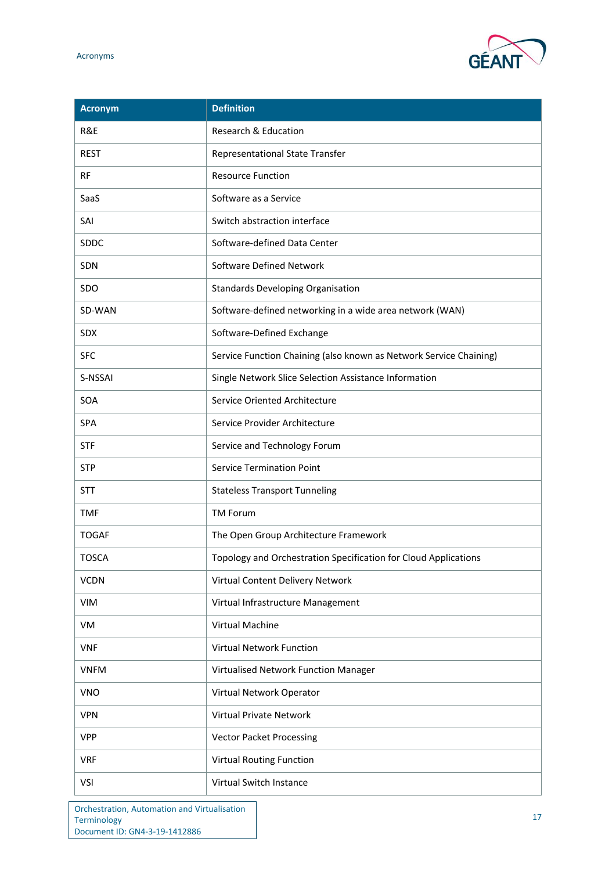

| <b>Acronym</b> | <b>Definition</b>                                                  |
|----------------|--------------------------------------------------------------------|
| R&E            | Research & Education                                               |
| <b>REST</b>    | <b>Representational State Transfer</b>                             |
| <b>RF</b>      | <b>Resource Function</b>                                           |
| SaaS           | Software as a Service                                              |
| SAI            | Switch abstraction interface                                       |
| <b>SDDC</b>    | Software-defined Data Center                                       |
| <b>SDN</b>     | Software Defined Network                                           |
| SDO            | <b>Standards Developing Organisation</b>                           |
| SD-WAN         | Software-defined networking in a wide area network (WAN)           |
| <b>SDX</b>     | Software-Defined Exchange                                          |
| <b>SFC</b>     | Service Function Chaining (also known as Network Service Chaining) |
| S-NSSAI        | Single Network Slice Selection Assistance Information              |
| SOA            | Service Oriented Architecture                                      |
| <b>SPA</b>     | Service Provider Architecture                                      |
| <b>STF</b>     | Service and Technology Forum                                       |
| <b>STP</b>     | <b>Service Termination Point</b>                                   |
| <b>STT</b>     | <b>Stateless Transport Tunneling</b>                               |
| <b>TMF</b>     | <b>TM Forum</b>                                                    |
| <b>TOGAF</b>   | The Open Group Architecture Framework                              |
| <b>TOSCA</b>   | Topology and Orchestration Specification for Cloud Applications    |
| <b>VCDN</b>    | Virtual Content Delivery Network                                   |
| <b>VIM</b>     | Virtual Infrastructure Management                                  |
| VM             | Virtual Machine                                                    |
| <b>VNF</b>     | <b>Virtual Network Function</b>                                    |
| <b>VNFM</b>    | Virtualised Network Function Manager                               |
| <b>VNO</b>     | Virtual Network Operator                                           |
| <b>VPN</b>     | <b>Virtual Private Network</b>                                     |
| <b>VPP</b>     | <b>Vector Packet Processing</b>                                    |
| <b>VRF</b>     | Virtual Routing Function                                           |
| VSI            | Virtual Switch Instance                                            |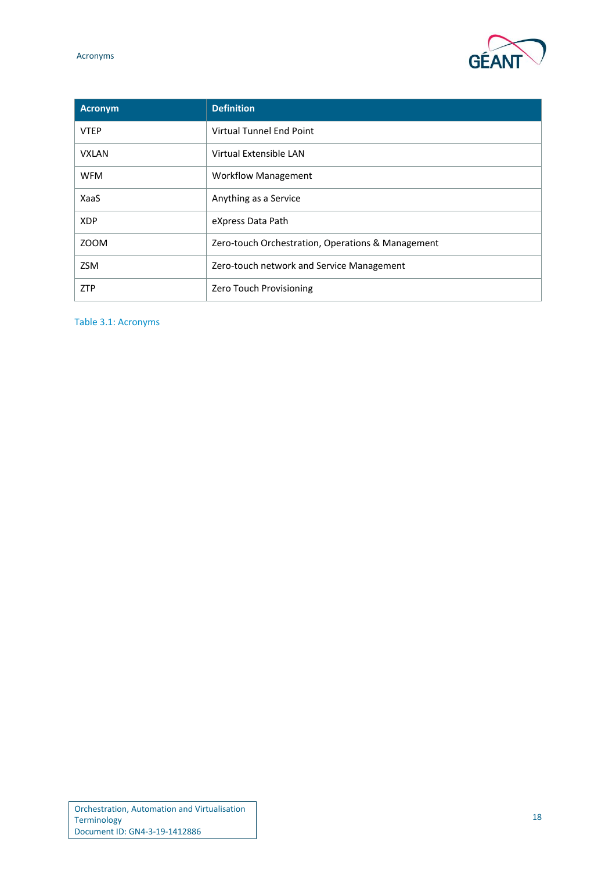

| <b>Acronym</b> | <b>Definition</b>                                 |
|----------------|---------------------------------------------------|
| <b>VTEP</b>    | Virtual Tunnel End Point                          |
| <b>VXLAN</b>   | Virtual Extensible LAN                            |
| <b>WFM</b>     | <b>Workflow Management</b>                        |
| XaaS           | Anything as a Service                             |
| <b>XDP</b>     | eXpress Data Path                                 |
| <b>ZOOM</b>    | Zero-touch Orchestration, Operations & Management |
| <b>ZSM</b>     | Zero-touch network and Service Management         |
| <b>ZTP</b>     | Zero Touch Provisioning                           |

<span id="page-19-0"></span>Table 3.1: Acronyms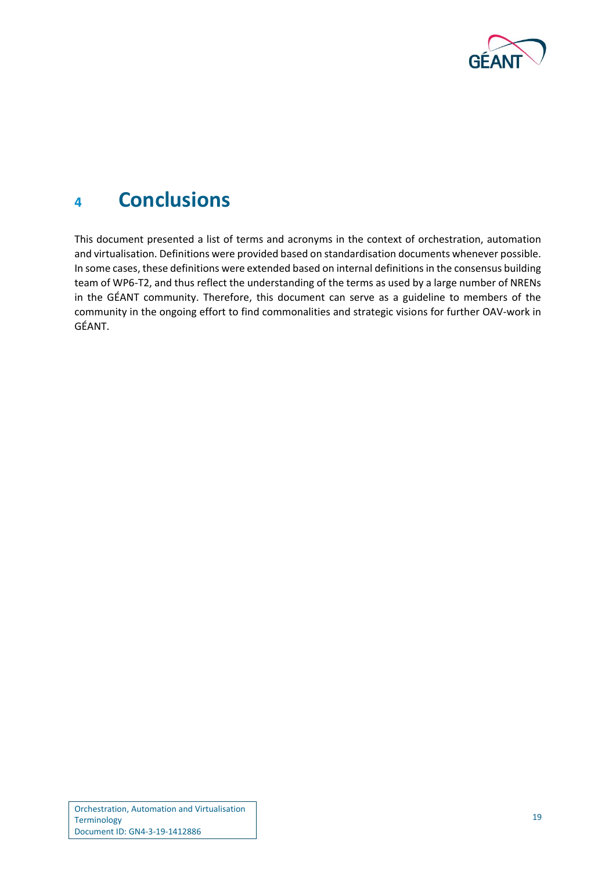

## <span id="page-20-0"></span>**<sup>4</sup> Conclusions**

This document presented a list of terms and acronyms in the context of orchestration, automation and virtualisation. Definitions were provided based on standardisation documents whenever possible. In some cases, these definitions were extended based on internal definitions in the consensus building team of WP6-T2, and thus reflect the understanding of the terms as used by a large number of NRENs in the GÉANT community. Therefore, this document can serve as a guideline to members of the community in the ongoing effort to find commonalities and strategic visions for further OAV-work in GÉANT.